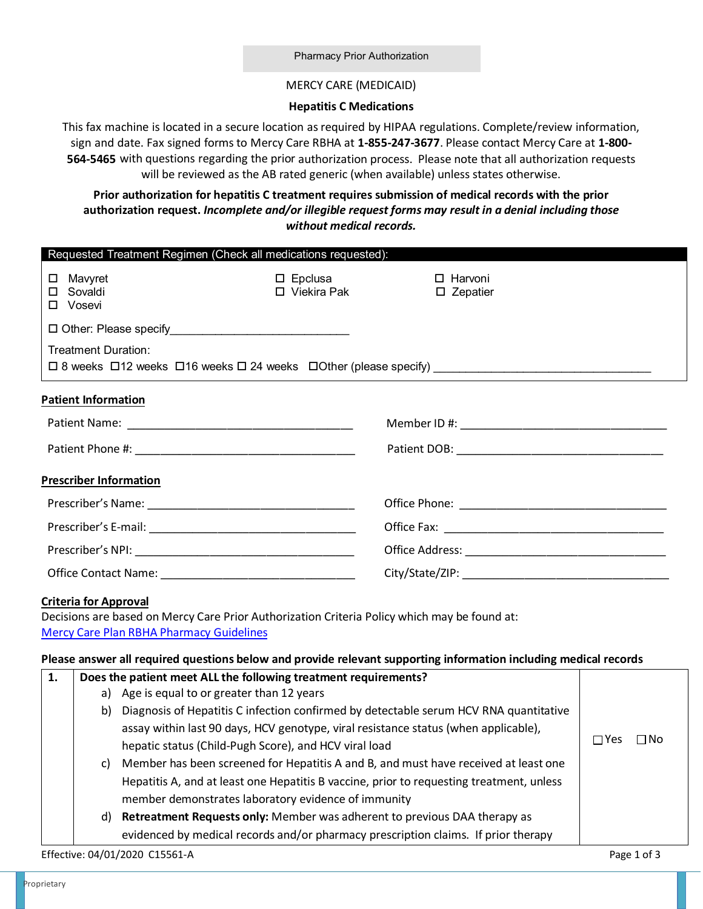## MERCY CARE (MEDICAID)

## **Hepatitis C Medications**

This fax machine is located in a secure location as required by HIPAA regulations. Complete/review information, sign and date. Fax signed forms to Mercy Care RBHA at **1-855-247-3677**. Please contact Mercy Care at **1-800- 564-5465** with questions regarding the prior authorization process. Please note that all authorization requests will be reviewed as the AB rated generic (when available) unless states otherwise.

## **authorization request.** *Incomplete and/or illegible request forms may result in a denial including those without medical records.*  **Prior authorization for hepatitis C treatment requires submission of medical records with the prior**

|                                                    |                                                                                                                                        |                                                                                                                                                                                    | Requested Treatment Regimen (Check all medications requested):  |                                                                                                                                                                                                                  |             |  |  |
|----------------------------------------------------|----------------------------------------------------------------------------------------------------------------------------------------|------------------------------------------------------------------------------------------------------------------------------------------------------------------------------------|-----------------------------------------------------------------|------------------------------------------------------------------------------------------------------------------------------------------------------------------------------------------------------------------|-------------|--|--|
| $\square$ Mavyret<br>$\square$ Sovaldi<br>□ Vosevi |                                                                                                                                        |                                                                                                                                                                                    | $\square$ Epclusa<br>□ Viekira Pak                              | □ Harvoni<br>$\square$ Zepatier                                                                                                                                                                                  |             |  |  |
|                                                    |                                                                                                                                        | □ Other: Please specify <u>University</u>                                                                                                                                          |                                                                 |                                                                                                                                                                                                                  |             |  |  |
|                                                    | <b>Treatment Duration:</b>                                                                                                             |                                                                                                                                                                                    |                                                                 |                                                                                                                                                                                                                  |             |  |  |
| <b>Patient Information</b>                         |                                                                                                                                        |                                                                                                                                                                                    |                                                                 |                                                                                                                                                                                                                  |             |  |  |
|                                                    |                                                                                                                                        |                                                                                                                                                                                    |                                                                 |                                                                                                                                                                                                                  |             |  |  |
|                                                    |                                                                                                                                        |                                                                                                                                                                                    |                                                                 |                                                                                                                                                                                                                  |             |  |  |
|                                                    |                                                                                                                                        | <b>Prescriber Information</b>                                                                                                                                                      |                                                                 |                                                                                                                                                                                                                  |             |  |  |
|                                                    |                                                                                                                                        |                                                                                                                                                                                    |                                                                 |                                                                                                                                                                                                                  |             |  |  |
|                                                    |                                                                                                                                        |                                                                                                                                                                                    |                                                                 |                                                                                                                                                                                                                  |             |  |  |
|                                                    |                                                                                                                                        |                                                                                                                                                                                    |                                                                 |                                                                                                                                                                                                                  |             |  |  |
|                                                    |                                                                                                                                        |                                                                                                                                                                                    |                                                                 |                                                                                                                                                                                                                  |             |  |  |
| <b>Criteria for Approval</b>                       |                                                                                                                                        | <b>Mercy Care Plan RBHA Pharmacy Guidelines</b>                                                                                                                                    |                                                                 | Decisions are based on Mercy Care Prior Authorization Criteria Policy which may be found at:<br>Please answer all required questions below and provide relevant supporting information including medical records |             |  |  |
| 1.                                                 |                                                                                                                                        |                                                                                                                                                                                    | Does the patient meet ALL the following treatment requirements? |                                                                                                                                                                                                                  |             |  |  |
|                                                    |                                                                                                                                        | a) Age is equal to or greater than 12 years                                                                                                                                        |                                                                 |                                                                                                                                                                                                                  |             |  |  |
|                                                    | b)                                                                                                                                     |                                                                                                                                                                                    |                                                                 |                                                                                                                                                                                                                  |             |  |  |
|                                                    |                                                                                                                                        | $\square$ Yes<br>$\square$ No                                                                                                                                                      |                                                                 |                                                                                                                                                                                                                  |             |  |  |
|                                                    |                                                                                                                                        | hepatic status (Child-Pugh Score), and HCV viral load                                                                                                                              |                                                                 |                                                                                                                                                                                                                  |             |  |  |
|                                                    |                                                                                                                                        | c) Member has been screened for Hepatitis A and B, and must have received at least one<br>Hepatitis A, and at least one Hepatitis B vaccine, prior to requesting treatment, unless |                                                                 |                                                                                                                                                                                                                  |             |  |  |
|                                                    |                                                                                                                                        |                                                                                                                                                                                    |                                                                 |                                                                                                                                                                                                                  |             |  |  |
|                                                    | member demonstrates laboratory evidence of immunity<br>Retreatment Requests only: Member was adherent to previous DAA therapy as<br>d) |                                                                                                                                                                                    |                                                                 |                                                                                                                                                                                                                  |             |  |  |
|                                                    |                                                                                                                                        |                                                                                                                                                                                    |                                                                 |                                                                                                                                                                                                                  |             |  |  |
|                                                    |                                                                                                                                        | Effective: 04/01/2020 C15561-A                                                                                                                                                     |                                                                 | evidenced by medical records and/or pharmacy prescription claims. If prior therapy                                                                                                                               | Page 1 of 3 |  |  |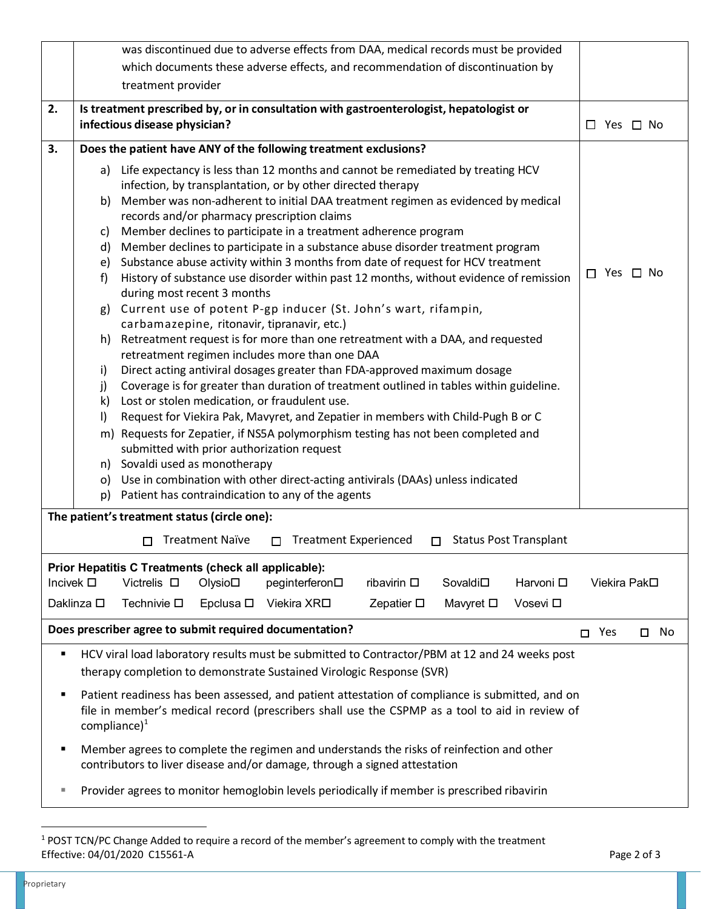|                                                                                                                                  |                                                                                                                                     |                                                      |                        | was discontinued due to adverse effects from DAA, medical records must be provided                                              |                    |                          |                      |                      |  |  |
|----------------------------------------------------------------------------------------------------------------------------------|-------------------------------------------------------------------------------------------------------------------------------------|------------------------------------------------------|------------------------|---------------------------------------------------------------------------------------------------------------------------------|--------------------|--------------------------|----------------------|----------------------|--|--|
|                                                                                                                                  | which documents these adverse effects, and recommendation of discontinuation by                                                     |                                                      |                        |                                                                                                                                 |                    |                          |                      |                      |  |  |
|                                                                                                                                  | treatment provider                                                                                                                  |                                                      |                        |                                                                                                                                 |                    |                          |                      |                      |  |  |
| 2.                                                                                                                               | Is treatment prescribed by, or in consultation with gastroenterologist, hepatologist or                                             |                                                      |                        |                                                                                                                                 |                    |                          |                      |                      |  |  |
|                                                                                                                                  | infectious disease physician?                                                                                                       |                                                      |                        |                                                                                                                                 |                    |                          | $\Box$ Yes $\Box$ No |                      |  |  |
| 3.                                                                                                                               | Does the patient have ANY of the following treatment exclusions?                                                                    |                                                      |                        |                                                                                                                                 |                    |                          |                      |                      |  |  |
|                                                                                                                                  | a) Life expectancy is less than 12 months and cannot be remediated by treating HCV                                                  |                                                      |                        |                                                                                                                                 |                    |                          |                      |                      |  |  |
|                                                                                                                                  | infection, by transplantation, or by other directed therapy                                                                         |                                                      |                        |                                                                                                                                 |                    |                          |                      |                      |  |  |
|                                                                                                                                  | b)                                                                                                                                  |                                                      |                        | Member was non-adherent to initial DAA treatment regimen as evidenced by medical                                                |                    |                          |                      |                      |  |  |
|                                                                                                                                  | C)                                                                                                                                  |                                                      |                        | records and/or pharmacy prescription claims<br>Member declines to participate in a treatment adherence program                  |                    |                          |                      |                      |  |  |
|                                                                                                                                  | d)                                                                                                                                  |                                                      |                        | Member declines to participate in a substance abuse disorder treatment program                                                  |                    |                          |                      |                      |  |  |
|                                                                                                                                  | e)                                                                                                                                  |                                                      |                        | Substance abuse activity within 3 months from date of request for HCV treatment                                                 |                    |                          |                      |                      |  |  |
|                                                                                                                                  | f)                                                                                                                                  |                                                      |                        | History of substance use disorder within past 12 months, without evidence of remission                                          |                    |                          |                      | $\Box$ Yes $\Box$ No |  |  |
|                                                                                                                                  | during most recent 3 months                                                                                                         |                                                      |                        |                                                                                                                                 |                    |                          |                      |                      |  |  |
|                                                                                                                                  | g) Current use of potent P-gp inducer (St. John's wart, rifampin,                                                                   |                                                      |                        |                                                                                                                                 |                    |                          |                      |                      |  |  |
|                                                                                                                                  | carbamazepine, ritonavir, tipranavir, etc.)<br>Retreatment request is for more than one retreatment with a DAA, and requested<br>h) |                                                      |                        |                                                                                                                                 |                    |                          |                      |                      |  |  |
|                                                                                                                                  | retreatment regimen includes more than one DAA                                                                                      |                                                      |                        |                                                                                                                                 |                    |                          |                      |                      |  |  |
|                                                                                                                                  | Direct acting antiviral dosages greater than FDA-approved maximum dosage<br>i)                                                      |                                                      |                        |                                                                                                                                 |                    |                          |                      |                      |  |  |
|                                                                                                                                  | j)                                                                                                                                  |                                                      |                        | Coverage is for greater than duration of treatment outlined in tables within guideline.                                         |                    |                          |                      |                      |  |  |
|                                                                                                                                  | k)                                                                                                                                  |                                                      |                        | Lost or stolen medication, or fraudulent use.                                                                                   |                    |                          |                      |                      |  |  |
|                                                                                                                                  | $\vert$                                                                                                                             |                                                      |                        | Request for Viekira Pak, Mavyret, and Zepatier in members with Child-Pugh B or C                                                |                    |                          |                      |                      |  |  |
|                                                                                                                                  |                                                                                                                                     |                                                      |                        | m) Requests for Zepatier, if NS5A polymorphism testing has not been completed and<br>submitted with prior authorization request |                    |                          |                      |                      |  |  |
|                                                                                                                                  |                                                                                                                                     |                                                      |                        |                                                                                                                                 |                    |                          |                      |                      |  |  |
|                                                                                                                                  | n) Sovaldi used as monotherapy<br>o) Use in combination with other direct-acting antivirals (DAAs) unless indicated                 |                                                      |                        |                                                                                                                                 |                    |                          |                      |                      |  |  |
|                                                                                                                                  | p)                                                                                                                                  |                                                      |                        | Patient has contraindication to any of the agents                                                                               |                    |                          |                      |                      |  |  |
|                                                                                                                                  |                                                                                                                                     | The patient's treatment status (circle one):         |                        |                                                                                                                                 |                    |                          |                      |                      |  |  |
|                                                                                                                                  |                                                                                                                                     | □                                                    | <b>Treatment Naïve</b> | <b>Treatment Experienced</b><br>□                                                                                               |                    | □ Status Post Transplant |                      |                      |  |  |
|                                                                                                                                  |                                                                                                                                     | Prior Hepatitis C Treatments (check all applicable): |                        |                                                                                                                                 |                    |                          |                      |                      |  |  |
| Victrelis $\square$<br>ribavirin $\square$<br>Sovaldi□<br>Harvoni <sub>D</sub><br>Incivek $\square$<br>Olysio□<br>peginterferon□ |                                                                                                                                     | Viekira Pak□                                         |                        |                                                                                                                                 |                    |                          |                      |                      |  |  |
|                                                                                                                                  | Daklinza □                                                                                                                          | Technivie $\square$                                  | Epclusa $\square$      | Viekira XR <b></b> □                                                                                                            | Zepatier $\square$ | Mavyret □                | Vosevi □             |                      |  |  |
| Does prescriber agree to submit required documentation?<br>Yes<br>$\square$ No<br>П.                                             |                                                                                                                                     |                                                      |                        |                                                                                                                                 |                    |                          |                      |                      |  |  |
| HCV viral load laboratory results must be submitted to Contractor/PBM at 12 and 24 weeks post<br>٠                               |                                                                                                                                     |                                                      |                        |                                                                                                                                 |                    |                          |                      |                      |  |  |
| therapy completion to demonstrate Sustained Virologic Response (SVR)                                                             |                                                                                                                                     |                                                      |                        |                                                                                                                                 |                    |                          |                      |                      |  |  |
| ٠                                                                                                                                | Patient readiness has been assessed, and patient attestation of compliance is submitted, and on                                     |                                                      |                        |                                                                                                                                 |                    |                          |                      |                      |  |  |
|                                                                                                                                  | file in member's medical record (prescribers shall use the CSPMP as a tool to aid in review of<br>compliance) $1$                   |                                                      |                        |                                                                                                                                 |                    |                          |                      |                      |  |  |
| ٠                                                                                                                                | Member agrees to complete the regimen and understands the risks of reinfection and other                                            |                                                      |                        |                                                                                                                                 |                    |                          |                      |                      |  |  |
|                                                                                                                                  | contributors to liver disease and/or damage, through a signed attestation                                                           |                                                      |                        |                                                                                                                                 |                    |                          |                      |                      |  |  |
| ш                                                                                                                                | Provider agrees to monitor hemoglobin levels periodically if member is prescribed ribavirin                                         |                                                      |                        |                                                                                                                                 |                    |                          |                      |                      |  |  |

l

<span id="page-1-0"></span> Effective: 04/01/2020 C15561-A Page 2 of 3 1 POST TCN/PC Change Added to require a record of the member's agreement to comply with the treatment